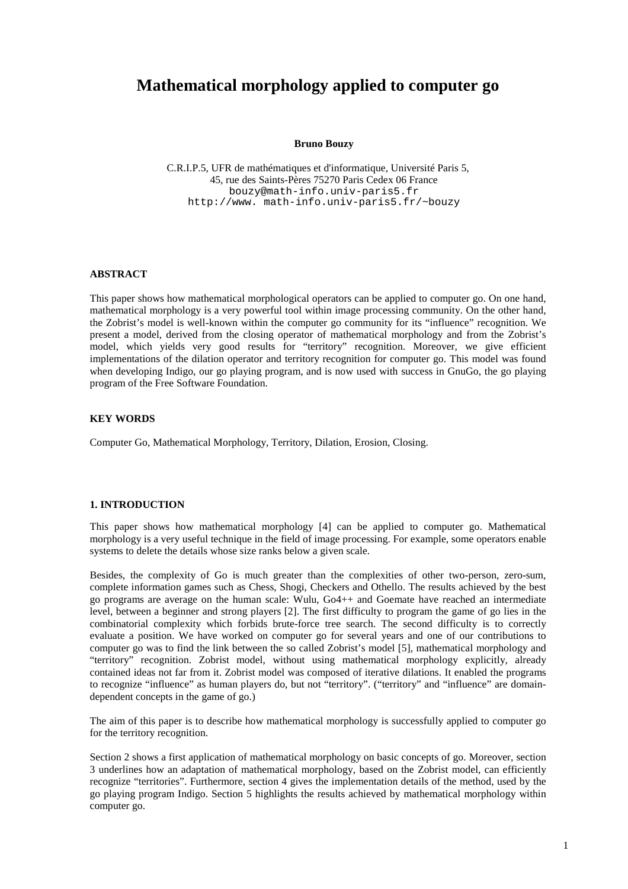# **Mathematical morphology applied to computer go**

#### **Bruno Bouzy**

C.R.I.P.5, UFR de mathématiques et d'informatique, Université Paris 5, 45, rue des Saints-Pères 75270 Paris Cedex 06 France bouzy@math-info.univ-paris5.fr http://www. math-info.univ-paris5.fr/~bouzy

## **ABSTRACT**

This paper shows how mathematical morphological operators can be applied to computer go. On one hand, mathematical morphology is a very powerful tool within image processing community. On the other hand, the Zobrist's model is well-known within the computer go community for its "influence" recognition. We present a model, derived from the closing operator of mathematical morphology and from the Zobrist's model, which yields very good results for "territory" recognition. Moreover, we give efficient implementations of the dilation operator and territory recognition for computer go. This model was found when developing Indigo, our go playing program, and is now used with success in GnuGo, the go playing program of the Free Software Foundation.

## **KEY WORDS**

Computer Go, Mathematical Morphology, Territory, Dilation, Erosion, Closing.

# **1. INTRODUCTION**

This paper shows how mathematical morphology [4] can be applied to computer go. Mathematical morphology is a very useful technique in the field of image processing. For example, some operators enable systems to delete the details whose size ranks below a given scale.

Besides, the complexity of Go is much greater than the complexities of other two-person, zero-sum, complete information games such as Chess, Shogi, Checkers and Othello. The results achieved by the best go programs are average on the human scale: Wulu, Go4++ and Goemate have reached an intermediate level, between a beginner and strong players [2]. The first difficulty to program the game of go lies in the combinatorial complexity which forbids brute-force tree search. The second difficulty is to correctly evaluate a position. We have worked on computer go for several years and one of our contributions to computer go was to find the link between the so called Zobrist's model [5], mathematical morphology and "territory" recognition. Zobrist model, without using mathematical morphology explicitly, already contained ideas not far from it. Zobrist model was composed of iterative dilations. It enabled the programs to recognize "influence" as human players do, but not "territory". ("territory" and "influence" are domaindependent concepts in the game of go.)

The aim of this paper is to describe how mathematical morphology is successfully applied to computer go for the territory recognition.

Section 2 shows a first application of mathematical morphology on basic concepts of go. Moreover, section 3 underlines how an adaptation of mathematical morphology, based on the Zobrist model, can efficiently recognize "territories". Furthermore, section 4 gives the implementation details of the method, used by the go playing program Indigo. Section 5 highlights the results achieved by mathematical morphology within computer go.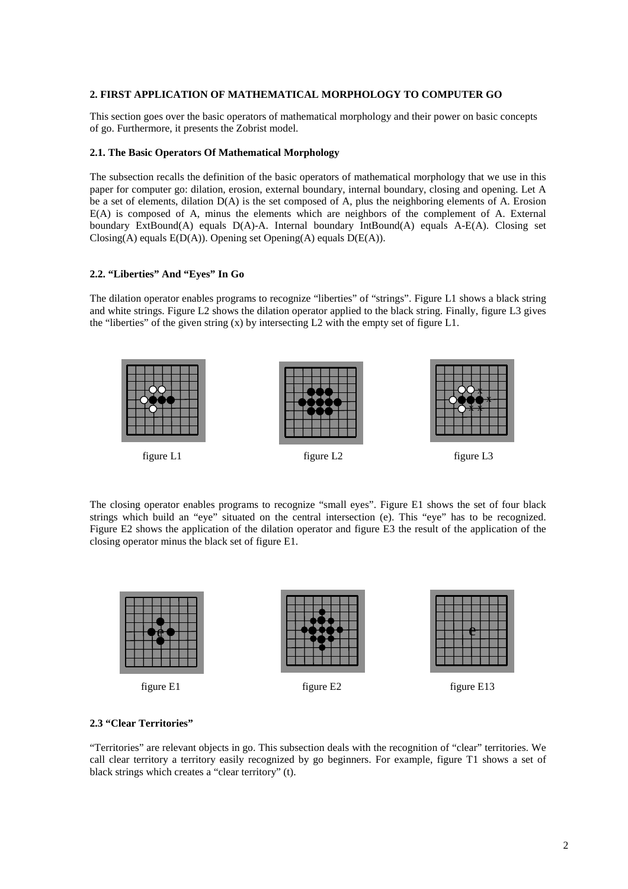## **2. FIRST APPLICATION OF MATHEMATICAL MORPHOLOGY TO COMPUTER GO**

This section goes over the basic operators of mathematical morphology and their power on basic concepts of go. Furthermore, it presents the Zobrist model.

#### **2.1. The Basic Operators Of Mathematical Morphology**

The subsection recalls the definition of the basic operators of mathematical morphology that we use in this paper for computer go: dilation, erosion, external boundary, internal boundary, closing and opening. Let A be a set of elements, dilation D(A) is the set composed of A, plus the neighboring elements of A. Erosion E(A) is composed of A, minus the elements which are neighbors of the complement of A. External boundary ExtBound(A) equals D(A)-A. Internal boundary IntBound(A) equals A-E(A). Closing set Closing(A) equals  $E(D(A))$ . Opening set Opening(A) equals  $D(E(A))$ .

# **2.2. "Liberties" And "Eyes" In Go**

The dilation operator enables programs to recognize "liberties" of "strings". Figure L1 shows a black string and white strings. Figure L2 shows the dilation operator applied to the black string. Finally, figure L3 gives the "liberties" of the given string  $(x)$  by intersecting L2 with the empty set of figure L1.



The closing operator enables programs to recognize "small eyes". Figure E1 shows the set of four black strings which build an "eye" situated on the central intersection (e). This "eye" has to be recognized. Figure E2 shows the application of the dilation operator and figure E3 the result of the application of the closing operator minus the black set of figure E1.



#### **2.3 "Clear Territories"**

"Territories" are relevant objects in go. This subsection deals with the recognition of "clear" territories. We call clear territory a territory easily recognized by go beginners. For example, figure T1 shows a set of black strings which creates a "clear territory" (t).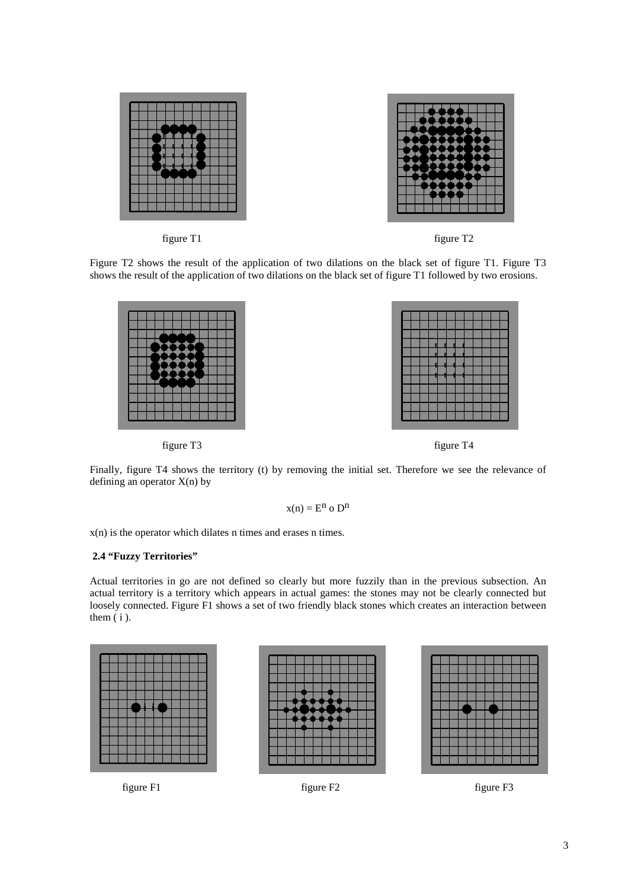



figure T1 figure T2

Figure T2 shows the result of the application of two dilations on the black set of figure T1. Figure T3 shows the result of the application of two dilations on the black set of figure T1 followed by two erosions.





Finally, figure T4 shows the territory (t) by removing the initial set. Therefore we see the relevance of defining an operator  $X(n)$  by

$$
x(n) = E^n \circ D^n
$$

x(n) is the operator which dilates n times and erases n times.

### **2.4 "Fuzzy Territories"**

Actual territories in go are not defined so clearly but more fuzzily than in the previous subsection. An actual territory is a territory which appears in actual games: the stones may not be clearly connected but loosely connected. Figure F1 shows a set of two friendly black stones which creates an interaction between them  $(i)$ .



figure F1 figure F2 figure F3



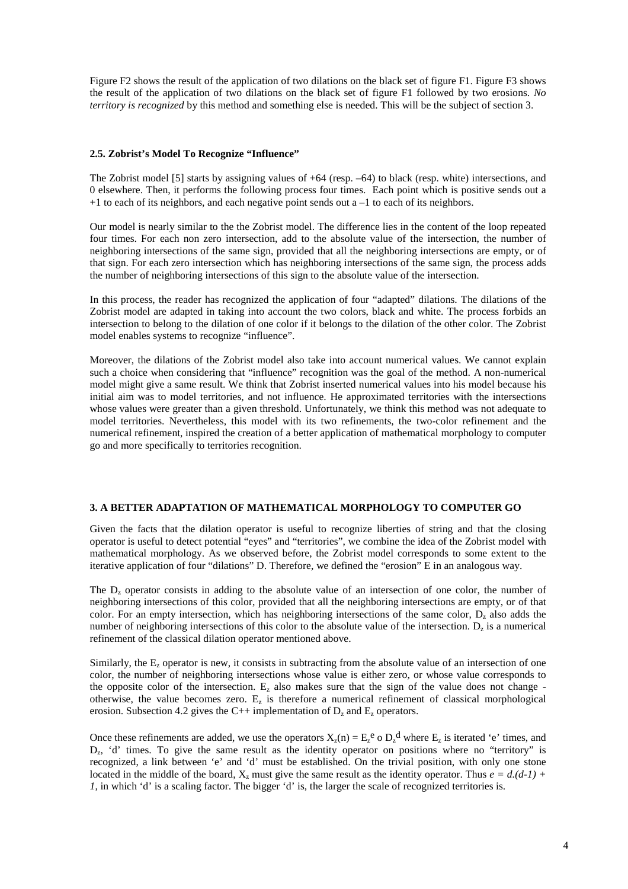Figure F2 shows the result of the application of two dilations on the black set of figure F1. Figure F3 shows the result of the application of two dilations on the black set of figure F1 followed by two erosions. *No territory is recognized* by this method and something else is needed. This will be the subject of section 3.

#### **2.5. Zobrist's Model To Recognize "Influence"**

The Zobrist model [5] starts by assigning values of +64 (resp. –64) to black (resp. white) intersections, and 0 elsewhere. Then, it performs the following process four times. Each point which is positive sends out a +1 to each of its neighbors, and each negative point sends out a –1 to each of its neighbors.

Our model is nearly similar to the the Zobrist model. The difference lies in the content of the loop repeated four times. For each non zero intersection, add to the absolute value of the intersection, the number of neighboring intersections of the same sign, provided that all the neighboring intersections are empty, or of that sign. For each zero intersection which has neighboring intersections of the same sign, the process adds the number of neighboring intersections of this sign to the absolute value of the intersection.

In this process, the reader has recognized the application of four "adapted" dilations. The dilations of the Zobrist model are adapted in taking into account the two colors, black and white. The process forbids an intersection to belong to the dilation of one color if it belongs to the dilation of the other color. The Zobrist model enables systems to recognize "influence".

Moreover, the dilations of the Zobrist model also take into account numerical values. We cannot explain such a choice when considering that "influence" recognition was the goal of the method. A non-numerical model might give a same result. We think that Zobrist inserted numerical values into his model because his initial aim was to model territories, and not influence. He approximated territories with the intersections whose values were greater than a given threshold. Unfortunately, we think this method was not adequate to model territories. Nevertheless, this model with its two refinements, the two-color refinement and the numerical refinement, inspired the creation of a better application of mathematical morphology to computer go and more specifically to territories recognition.

## **3. A BETTER ADAPTATION OF MATHEMATICAL MORPHOLOGY TO COMPUTER GO**

Given the facts that the dilation operator is useful to recognize liberties of string and that the closing operator is useful to detect potential "eyes" and "territories", we combine the idea of the Zobrist model with mathematical morphology. As we observed before, the Zobrist model corresponds to some extent to the iterative application of four "dilations" D. Therefore, we defined the "erosion" E in an analogous way.

The  $D<sub>z</sub>$  operator consists in adding to the absolute value of an intersection of one color, the number of neighboring intersections of this color, provided that all the neighboring intersections are empty, or of that color. For an empty intersection, which has neighboring intersections of the same color,  $D<sub>z</sub>$  also adds the number of neighboring intersections of this color to the absolute value of the intersection.  $D_z$  is a numerical refinement of the classical dilation operator mentioned above.

Similarly, the  $E<sub>z</sub>$  operator is new, it consists in subtracting from the absolute value of an intersection of one color, the number of neighboring intersections whose value is either zero, or whose value corresponds to the opposite color of the intersection.  $E_z$  also makes sure that the sign of the value does not change otherwise, the value becomes zero.  $E_z$  is therefore a numerical refinement of classical morphological erosion. Subsection 4.2 gives the C++ implementation of  $D<sub>z</sub>$  and  $E<sub>z</sub>$  operators.

Once these refinements are added, we use the operators  $X_z(n) = E_z^e \circ D_z^d$  where  $E_z$  is iterated 'e' times, and D<sub>z</sub>, 'd' times. To give the same result as the identity operator on positions where no "territory" is recognized, a link between 'e' and 'd' must be established. On the trivial position, with only one stone located in the middle of the board,  $X_z$  must give the same result as the identity operator. Thus  $e = d(d-1) + d$ *1*, in which 'd' is a scaling factor. The bigger 'd' is, the larger the scale of recognized territories is.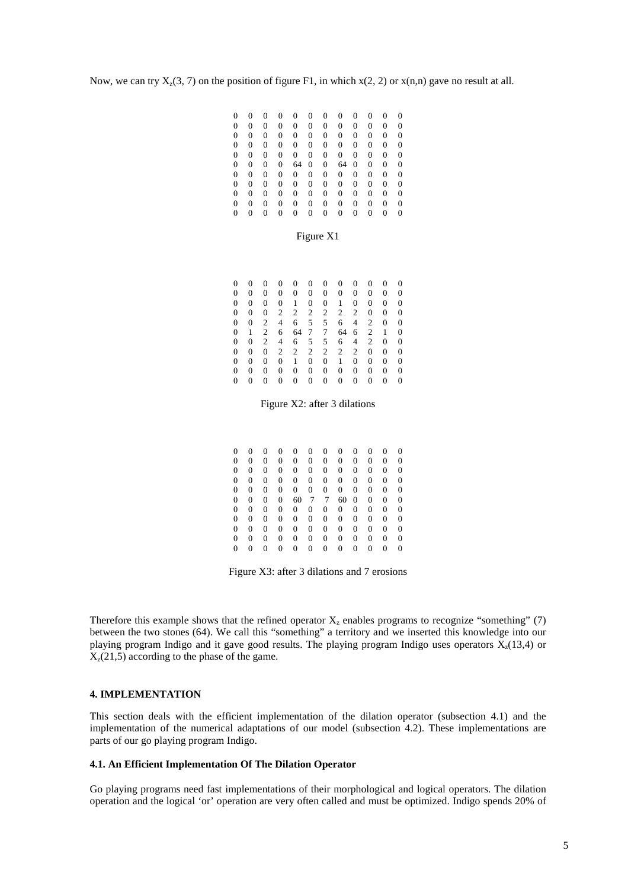Now, we can try  $X_z(3, 7)$  on the position of figure F1, in which  $x(2, 2)$  or  $x(n,n)$  gave no result at all.

| $\theta$       |                |   | 0 | $\overline{0}$ | $\overline{0}$ | $\overline{0}$ | 0        | 0 | 0              |                | 0        |
|----------------|----------------|---|---|----------------|----------------|----------------|----------|---|----------------|----------------|----------|
| $\overline{0}$ | 0              | 0 | 0 | $\overline{0}$ | 0              | 0              | 0        | 0 | 0              | 0              | $\Omega$ |
| $\overline{0}$ | $\overline{0}$ | 0 | 0 | $\overline{0}$ | $\overline{0}$ | $\overline{0}$ | 0        | 0 | 0              | $\theta$       | $\Omega$ |
| $\overline{0}$ | 0              | 0 | 0 | $\overline{0}$ | $\overline{0}$ | 0              | 0        | 0 | 0              | $\overline{0}$ | $\Omega$ |
| $\overline{0}$ | $\overline{0}$ | 0 | 0 | $\overline{0}$ | $\overline{0}$ | $\overline{0}$ | 0        | 0 | $\overline{0}$ | $\theta$       | $\theta$ |
| $\overline{0}$ | $\overline{0}$ | 0 | 0 | 64             | 0              | 0              | 64       | 0 | $\overline{0}$ | $\overline{0}$ | 0        |
| $\overline{0}$ | $\overline{0}$ | 0 | 0 | 0              | $\Omega$       | $\theta$       | $\theta$ | 0 | $\theta$       | $\theta$       | $\Omega$ |
| $\overline{0}$ | $\overline{0}$ | 0 | 0 | $\overline{0}$ | $\overline{0}$ | $\overline{0}$ | 0        | 0 | $\overline{0}$ | $\overline{0}$ | 0        |
| $\overline{0}$ | 0              | 0 | 0 | $\overline{0}$ | 0              | $\theta$       | $\theta$ | 0 | 0              | 0              | $\theta$ |
| $\overline{0}$ | 0              | 0 | 0 | $\overline{0}$ | 0              | $\overline{0}$ | 0        | 0 | 0              | 0              | $\Omega$ |
| $\overline{0}$ | 0              | 0 | 0 | 0              | 0              | 0              | 0        | 0 | 0              | 0              | $\Omega$ |

#### Figure X1

|                |          |          | 0 | $\overline{0}$ | $\overline{0}$ | 0        | 0        | 0 | $\overline{0}$ |          | 0        |
|----------------|----------|----------|---|----------------|----------------|----------|----------|---|----------------|----------|----------|
| $\theta$       | 0        | 0        | 0 | 0              | $\overline{0}$ | $\theta$ | $\theta$ | 0 | $\Omega$       | $\theta$ | $\Omega$ |
| $\overline{0}$ | 0        | $\theta$ | 0 | 1              | $\theta$       | 0        | 1        | 0 | $\overline{0}$ | $\theta$ | $\Omega$ |
| $\overline{0}$ | 0        | $\theta$ | 2 | 2              | 2              | 2        | 2        | 2 | 0              | $\theta$ | $\Omega$ |
| $\theta$       | $\theta$ | 2        | 4 | 6              | 5              | 5        | 6        | 4 | 2              | $\theta$ | $\Omega$ |
| $\overline{0}$ |          | 2        | 6 | 64             | 7              | 7        | 64       | 6 | 2              | 1        | $\Omega$ |
| $\theta$       | 0        | 2        | 4 | 6              | 5.             | 5        | 6        | 4 | 2              | $\theta$ | $\Omega$ |
| $\overline{0}$ | $\theta$ | $\theta$ | 2 | $\overline{2}$ | 2              | 2        | 2        | 2 | $\overline{0}$ | $\theta$ | $\Omega$ |
| $\theta$       | 0        | $\Omega$ | 0 | 1              | $\overline{0}$ | 0        | 1        | 0 | 0              | $\theta$ | $\Omega$ |
| $\theta$       | 0        | $\theta$ | 0 | 0              | $\theta$       | 0        | 0        | 0 | 0              | $\theta$ | 0        |
| $\overline{0}$ | 0        | 0        | 0 | 0              | 0              | 0        | 0        | 0 | $\theta$       | 0        | 0        |

#### Figure X2: after 3 dilations

| $\overline{0}$ | 0              | 0 | 0 | 0  | 0              | 0            | 0              | 0              | $\overline{0}$ | 0            | $\overline{0}$ |
|----------------|----------------|---|---|----|----------------|--------------|----------------|----------------|----------------|--------------|----------------|
| $\overline{0}$ | $\overline{0}$ | 0 | 0 | 0  | $\overline{0}$ | 0            | 0              | 0              | $\theta$       | 0            | $\Omega$       |
| 0              | $\overline{0}$ | 0 | 0 | 0  | 0              | $\mathbf{0}$ | $\overline{0}$ | $\overline{0}$ | $\overline{0}$ | 0            | $\overline{0}$ |
| 0              | $\overline{0}$ | 0 | 0 | 0  | 0              | $\mathbf{0}$ | $\theta$       | $\theta$       | $\Omega$       | 0            | $\overline{0}$ |
| 0              | 0              | 0 | 0 | 0  | $\overline{0}$ | 0            | $\overline{0}$ | $\overline{0}$ | $\overline{0}$ | 0            | $\overline{0}$ |
| 0              | $\overline{0}$ | 0 | 0 | 60 | 7              | 7            | 60             | $\theta$       | 0              | $\mathbf{0}$ | $\overline{0}$ |
| 0              | $\overline{0}$ | 0 | 0 | 0  | $\overline{0}$ | $\mathbf{0}$ | $\theta$       | 0              | 0              | 0            | $\overline{0}$ |
| 0              | $\overline{0}$ | 0 | 0 | 0  | $\overline{0}$ | $\mathbf{0}$ | $\theta$       | 0              | $\overline{0}$ | 0            | 0              |
| 0              | $\theta$       | 0 | 0 | 0  | 0              | $\mathbf{0}$ | $\overline{0}$ | $\Omega$       | $\Omega$       | $\theta$     | $\Omega$       |
| $\overline{0}$ | 0              | 0 | 0 | 0  | $\overline{0}$ | 0            | $\overline{0}$ | 0              | $\overline{0}$ | 0            | 0              |
| $\overline{0}$ | 0              | 0 | 0 | 0  | $\overline{0}$ | 0            | 0              | 0              | $\theta$       | 0            | $\overline{0}$ |

Figure X3: after 3 dilations and 7 erosions

Therefore this example shows that the refined operator  $X<sub>z</sub>$  enables programs to recognize "something" (7) between the two stones (64). We call this "something" a territory and we inserted this knowledge into our playing program Indigo and it gave good results. The playing program Indigo uses operators  $X_7(13,4)$  or  $X_{z}(21,5)$  according to the phase of the game.

#### **4. IMPLEMENTATION**

This section deals with the efficient implementation of the dilation operator (subsection 4.1) and the implementation of the numerical adaptations of our model (subsection 4.2). These implementations are parts of our go playing program Indigo.

#### **4.1. An Efficient Implementation Of The Dilation Operator**

Go playing programs need fast implementations of their morphological and logical operators. The dilation operation and the logical 'or' operation are very often called and must be optimized. Indigo spends 20% of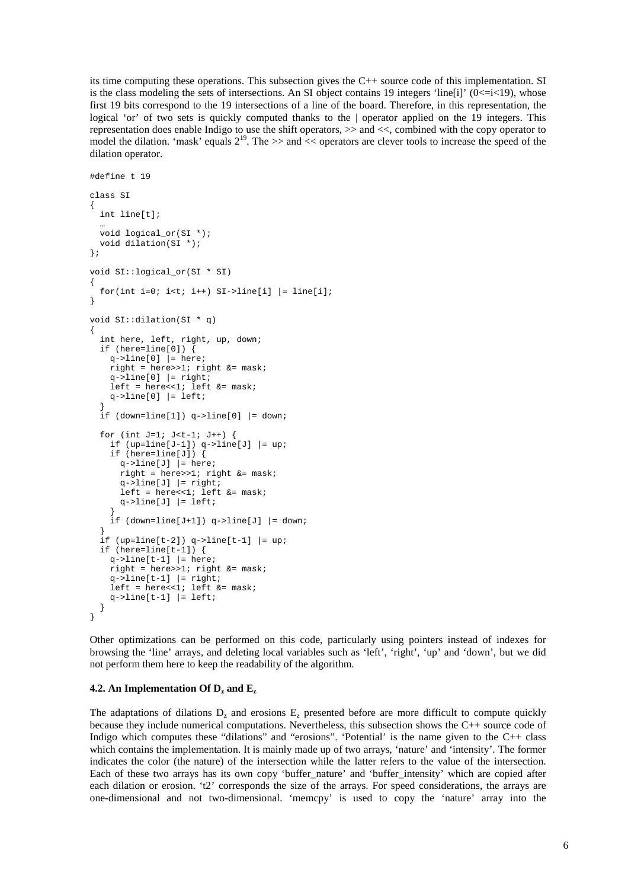its time computing these operations. This subsection gives the C++ source code of this implementation. SI is the class modeling the sets of intersections. An SI object contains 19 integers 'line[i]' ( $0 \le i \le 19$ ), whose first 19 bits correspond to the 19 intersections of a line of the board. Therefore, in this representation, the logical 'or' of two sets is quickly computed thanks to the | operator applied on the 19 integers. This representation does enable Indigo to use the shift operators, >> and <<, combined with the copy operator to model the dilation. 'mask' equals  $2^{19}$ . The  $\gg$  and  $\ll$  operators are clever tools to increase the speed of the dilation operator.

```
#define t 19
class SI
{
 int line[t];
  …
  void logical_or(SI *);
 void dilation(SI *);
};
void SI::logical_or(SI * SI)
{
  for(int i=0; i<t; i++) SI->line[i] |= line[i];
}
void SI::dilation(SI * q)
{
  int here, left, right, up, down;
  if (here=line[0]) {
    q->line[0] |= here;
   right = here >> 1; right \& = mask;
    q->line[0] | = right;
   left = here<<1; left &= mask;
   q->line[0] |= left;
  }
  if (down=line[1]) q->line[0] |= down;for (int J=1; J<t-1; J++) {
    if (up=line[J-1]) q->line[J] |= up;if (here=line[J]) {
      q->line[J] | = here;
      right = here >>1; right &= mask;
      q->line[J] |= right;left = here<<1; left \& = mask;
      q->line[J] |= left;
    }
    if (down=line[J+1]) q->line[J] |= dom;}
  if (up=line[t-2]) q->line[t-1] = up;if (here=line[t-1]) {
    q->line[t-1] | = here;
   right = here >>1; right &= mask;
    q->line[t-1] |= right;
   left = heress1; left & = mask;
    q->line[t-1] | = left;
 }
}
```
Other optimizations can be performed on this code, particularly using pointers instead of indexes for browsing the 'line' arrays, and deleting local variables such as 'left', 'right', 'up' and 'down', but we did not perform them here to keep the readability of the algorithm.

#### **4.2.** An Implementation Of  $D_z$  and  $E_z$

The adaptations of dilations  $D_z$  and erosions  $E_z$  presented before are more difficult to compute quickly because they include numerical computations. Nevertheless, this subsection shows the C++ source code of Indigo which computes these "dilations" and "erosions". 'Potential' is the name given to the  $C_{++}$  class which contains the implementation. It is mainly made up of two arrays, 'nature' and 'intensity'. The former indicates the color (the nature) of the intersection while the latter refers to the value of the intersection. Each of these two arrays has its own copy 'buffer nature' and 'buffer intensity' which are copied after each dilation or erosion. 't2' corresponds the size of the arrays. For speed considerations, the arrays are one-dimensional and not two-dimensional. 'memcpy' is used to copy the 'nature' array into the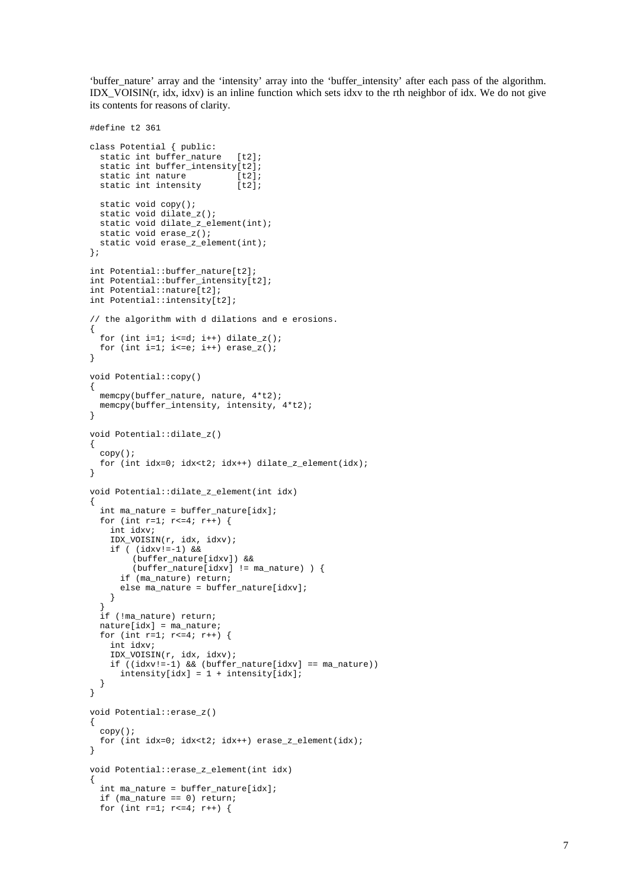'buffer\_nature' array and the 'intensity' array into the 'buffer\_intensity' after each pass of the algorithm. IDX\_VOISIN(r, idx, idxv) is an inline function which sets idxv to the rth neighbor of idx. We do not give its contents for reasons of clarity.

```
#define t2 361
class Potential { public:
  static int buffer_nature [t2];
  static int buffer_intensity[t2];
 static int nature [t2];
 static int intensity [t2];
 static void copy();
  static void dilate_z();
 static void dilate_z_element(int);
  static void erase_z();
 static void erase_z_element(int);
};
int Potential::buffer_nature[t2];
int Potential::buffer_intensity[t2];
int Potential::nature[t2];
int Potential::intensity[t2];
// the algorithm with d dilations and e erosions.
{
 for (int i=1; i <= d; i ++) dilate_z();
  for (int i=1; i<=e; i++) erase_z();
}
void Potential::copy()
{
 memcpy(buffer_nature, nature, 4*t2);
 memcpy(buffer_intensity, intensity, 4*t2);
}
void Potential::dilate_z()
{
  copy();
 for (int idx=0; idx<t2; idx++) dilate_z_element(idx);
}
void Potential::dilate_z_element(int idx)
{
  int ma_nature = buffer_nature[idx];
  for (int r=1; r <= 4; r ++) {
   int idxv;
   IDX_VOISIN(r, idx, idxv);
   if ( (idxv!=-1) &&
        (buffer_nature[idxv]) &&
        (buffer_nature[idxv] != ma_nature) ) {
      if (ma_nature) return;
      else ma_nature = buffer_nature[idxv];
   }
  }
  if (!ma_nature) return;
 natural = max name;
  for (int r=1; r <= 4; r ++) {
   int idxv;
   IDX_VOISIN(r, idx, idxv);
   if ((idxv!=-1) && (buffer_nature[idxv] == ma_nature))
      intensity[idx] = 1 + intensity[idx];
  }
}
void Potential::erase_z()
{
  copy();
 for (int idx=0; idx<t2; idx++) erase_z_element(idx);
}
void Potential::erase_z_element(int idx)
{
  int ma_nature = buffer_nature[idx];
  if (ma_nature == 0) return;
 for (int r=1; r <= 4; r ++) {
```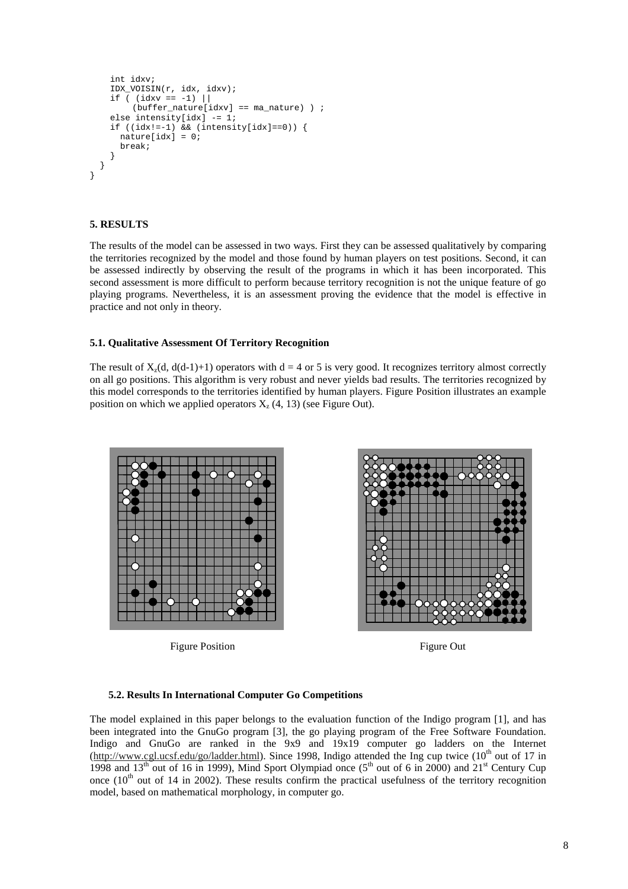```
int idxv;
    IDX_VOISIN(r, idx, idxv);
   if ( (idxv == -1) ||
        (buffer_nature[idxv] == ma_nature) ) ;
   else intensity[idx] -= 1;
    if ((idx!=-1) && (intensity_idx]=0) \{naturalidx] = 0;
     break;
   }
 }
}
```
# **5. RESULTS**

The results of the model can be assessed in two ways. First they can be assessed qualitatively by comparing the territories recognized by the model and those found by human players on test positions. Second, it can be assessed indirectly by observing the result of the programs in which it has been incorporated. This second assessment is more difficult to perform because territory recognition is not the unique feature of go playing programs. Nevertheless, it is an assessment proving the evidence that the model is effective in practice and not only in theory.

## **5.1. Qualitative Assessment Of Territory Recognition**

The result of  $X_1(d, d(d-1)+1)$  operators with  $d = 4$  or 5 is very good. It recognizes territory almost correctly on all go positions. This algorithm is very robust and never yields bad results. The territories recognized by this model corresponds to the territories identified by human players. Figure Position illustrates an example position on which we applied operators  $X_{7}(4, 13)$  (see Figure Out).



Figure Position Figure Out



#### **5.2. Results In International Computer Go Competitions**

The model explained in this paper belongs to the evaluation function of the Indigo program [1], and has been integrated into the GnuGo program [3], the go playing program of the Free Software Foundation. Indigo and GnuGo are ranked in the 9x9 and 19x19 computer go ladders on the Internet (http://www.cgl.ucsf.edu/go/ladder.html). Since 1998, Indigo attended the Ing cup twice (10<sup>th</sup> out of 17 in 1998 and  $13<sup>th</sup>$  out of 16 in 1999), Mind Sport Olympiad once ( $5<sup>th</sup>$  out of 6 in 2000) and  $21<sup>st</sup>$  Century Cup once  $(10<sup>th</sup>$  out of 14 in 2002). These results confirm the practical usefulness of the territory recognition model, based on mathematical morphology, in computer go.